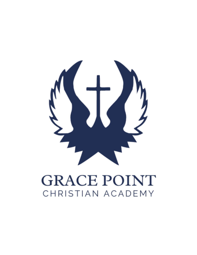

# **GRACE POINT** CHRISTIAN ACADEMY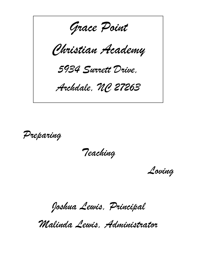*Grace Point Christian Academy 5934 Surrett Drive, Archdale, NC 27263*

*Preparing*

*Teaching*

*Loving*

*Joshua Lewis, Principal*

*Malinda Lewis, Administrator*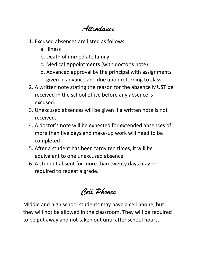*Attendance*

- 1. Excused absences are listed as follows:
	- a. Illness
	- b. Death of immediate family
	- c. Medical Appointments (with doctor's note)
	- d. Advanced approval by the principal with assignments given in advance and due upon returning to class
- 2. A written note stating the reason for the absence MUST be received in the school office before any absence is excused.
- 3. Unexcused absences will be given if a written note is not received.
- 4. A doctor's note will be expected for extended absences of more than five days and make-up work will need to be completed
- 5. After a student has been tardy ten times, it will be equivalent to one unexcused absence.
- 6. A student absent for more than twenty days may be required to repeat a grade.

*Cell Phones*

Middle and high school students may have a cell phone, but they will not be allowed in the classroom. They will be required to be put away and not taken out until after school hours.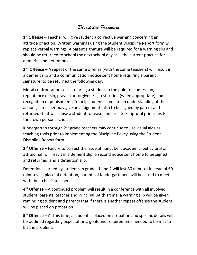## *Discipline Procedure*

**1 st Offense** – Teacher will give student a corrective warning concerning an attitude or action. Written warnings using the Student Discipline Report form will replace verbal warnings. A parent signature will be required for a warning slip and should be returned to school the next school day as is the current practice for demerits and detentions.

**2 nd Offense** – A repeat of the same offense (with the same teachers) will result in a demerit slip and a communication notice sent home requiring a parent signature, to be returned the following day.

Moral confrontation seeks to bring a student to the point of confession, repentance of sin, prayer for forgiveness, restitution (when appropriate) and recognition of punishment. To help students come to an understanding of their actions, a teacher may give an assignment (also to be signed by parent and returned) that will cause a student to reason and relate Scriptural principles to their own personal choices.

Kindergarten through  $2<sup>nd</sup>$  grade teachers may continue to use visual aids as teaching tools prior to implementing the Discipline Policy using the Student Discipline Report form.

**3 rd Offense** – Failure to correct the issue at hand, be it academic, behavioral or attitudinal, will result in a demerit slip, a second notice sent home to be signed and returned, and a detention slip.

Detentions earned by students in grades 1 and 2 will last 30 minutes instead of 60 minutes. In place of detention, parents of Kindergarteners will be asked to meet with their child's teacher.

**4 th Offense** – A continued problem will result in a conference with all involved: student, parents, teacher and Principal. At this time, a warning slip will be given reminding student and parents that if there is another repeat offense the student will be placed on probation.

**5 th Offense** – At this time, a student is placed on probation and specific details will be outlined regarding expectations, goals and requirements needed to be met to lift the problem.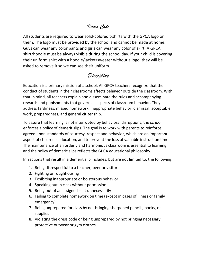### *Dress Code*

All students are required to wear solid-colored t-shirts with the GPCA logo on them. The logo must be provided by the school and cannot be made at home. Guys can wear any color pants and girls can wear any color of skirt. A GPCA shirt/hoodie must be always visible during the school day. If your child is covering their uniform shirt with a hoodie/jacket/sweater without a logo, they will be asked to remove it so we can see their uniform.

## *Discipline*

Education is a primary mission of a school. All GPCA teachers recognize that the conduct of students in their classrooms affects behavior outside the classroom. With that in mind, all teachers explain and disseminate the rules and accompanying rewards and punishments that govern all aspects of classroom behavior. They address tardiness, missed homework, inappropriate behavior, dismissal, acceptable work, preparedness, and general citizenship.

To assure that learning is not interrupted by behavioral disruptions, the school enforces a policy of demerit slips. The goal is to work with parents to reinforce agreed upon standards of courtesy, respect and behavior, which are an important aspect of children's education, and to prevent the loss of valuable instruction time. The maintenance of an orderly and harmonious classroom is essential to learning, and the policy of demerit slips reflects the GPCA educational philosophy.

Infractions that result in a demerit slip includes, but are not limited to, the following:

- 1. Being disrespectful to a teacher, peer or visitor
- 2. Fighting or roughhousing
- 3. Exhibiting inappropriate or boisterous behavior
- 4. Speaking out in class without permission
- 5. Being out of an assigned seat unnecessarily
- 6. Failing to complete homework on time (except in cases of illness or family emergency)
- 7. Being unprepared for class by not bringing sharpened pencils, books, or supplies
- 8. Violating the dress code or being unprepared by not bringing necessary protective outwear or gym clothes.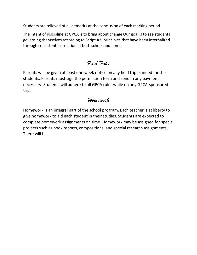Students are relieved of all demerits at the conclusion of each marking period.

The intent of discipline at GPCA is to bring about change Our goal is to see students governing themselves according to Scriptural principles that have been internalized through consistent instruction at both school and home.

## *Field Trips*

Parents will be given at least one week notice on any field trip planned for the students. Parents must sign the permission form and send in any payment necessary. Students will adhere to all GPCA rules while on any GPCA-sponsored trip.

### *Homework*

Homework is an integral part of the school program. Each teacher is at liberty to give homework to aid each student in their studies. Students are expected to complete homework assignments on time. Homework may be assigned for special projects such as book reports, compositions, and special research assignments. There will b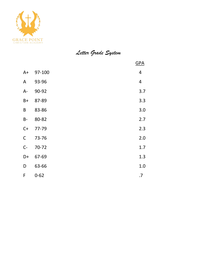

# *Letter Grade System*

|             |          | GPA                     |
|-------------|----------|-------------------------|
| $A+$        | 97-100   | 4                       |
| A           | 93-96    | $\overline{\mathbf{r}}$ |
| $A -$       | 90-92    | 3.7                     |
| $B+$        | 87-89    | 3.3                     |
| $\sf B$     | 83-86    | 3.0                     |
| $B -$       | 80-82    | 2.7                     |
| $C+$        | 77-79    | 2.3                     |
| $\mathsf C$ | 73-76    | 2.0                     |
| $C -$       | 70-72    | 1.7                     |
| D+          | 67-69    | 1.3                     |
| D           | 63-66    | 1.0                     |
| F           | $0 - 62$ | .7                      |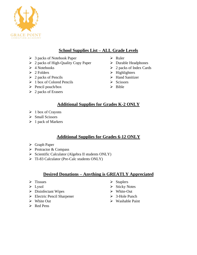

#### **School Supplies List – ALL Grade Levels**

- ➢ 3 packs of Notebook Paper
- ➢ 2 packs of High-Quality Copy Paper
- $\triangleright$  4 Notebooks
- ➢ 2 Folders
- $\geq 2$  packs of Pencils
- $\geq 1$  box of Colored Pencils
- ➢ Pencil pouch/box
- $\geq 2$  packs of Erasers
- ➢ Ruler
- ➢ Durable Headphones
- ➢ 2 packs of Index Cards
- $\triangleright$  Highlighters
- ➢ Hand Sanitizer
- ➢ Scissors
- ➢ Bible

#### **Additional Supplies for Grades K-2 ONLY**

- $\triangleright$  1 box of Crayons
- ➢ Small Scissors
- $\triangleright$  1 pack of Markers

#### **Additional Supplies for Grades 6-12 ONLY**

- ➢ Graph Paper
- ➢ Protractor & Compass
- ➢ Scientific Calculator (Algebra II students ONLY)
- ➢ TI-83 Calculator (Pre-Calc students ONLY)

#### **Desired Donations – Anything is GREATLY Appreciated**

- ➢ Tissues
- ➢ Lysol
- ➢ Disinfectant Wipes
- ➢ Electric Pencil Sharpener
- ➢ White Out
- ➢ Red Pens
- ➢ Staplers
- ➢ Sticky Notes
- ➢ White-Out
- ➢ 3-Hole Punch
- ➢ Washable Paint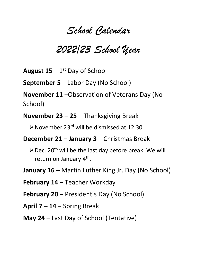# *School Calendar*

# *2022/23 School Year*

August 15 – 1<sup>st</sup> Day of School

**September 5** – Labor Day (No School)

**November 11** –Observation of Veterans Day (No School)

**November 23 – 25** – Thanksgiving Break

➢November 23 rd will be dismissed at 12:30

**December 21 – January 3** – Christmas Break

- $\triangleright$  Dec. 20<sup>th</sup> will be the last day before break. We will return on January 4<sup>th</sup>.
- **January 16** Martin Luther King Jr. Day (No School)

**February 14** – Teacher Workday

**February 20** – President's Day (No School)

**April 7 – 14** – Spring Break

**May 24** – Last Day of School (Tentative)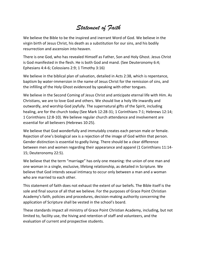# *Statement of Faith*

We believe the Bible to be the inspired and inerrant Word of God. We believe in the virgin birth of Jesus Christ, his death as a substitution for our sins, and his bodily resurrection and ascension into heaven.

There is one God, who has revealed Himself as Father, Son and Holy Ghost. Jesus Christ is God manifested in the flesh. He is both God and mand. (See Deuteronomy 6:4; Ephesians 4:4-6; Colossians 2:9; 1 Timothy 3:16)

We believe in the biblical plan of salvation, detailed in Acts 2:38, which is repentance, baptism by water-immersion in the name of Jesus Christ for the remission of sins, and the infilling of the Holy Ghost evidenced by speaking with other tongues.

We believe in the Second Coming of Jesus Christ and anticipate eternal life with Him. As Christians, we are to love God and others. We should live a holy life inwardly and outwardly, and worship God joyfully. The supernatural gifts of the Spirit, including healing, are for the church today (See Mark 12:28-31; 1 Corinthians 7:1; Hebrews 12:14; 1 Corinthians 12:8-10). We believe regular church attendance and involvement are essential for all believers (Hebrews 10:25).

We believe that God wonderfully and immutably creates each person male or female. Rejection of one's biological sex is a rejection of the image of God within that person. Gender distinction is essential to godly living. There should be a clear difference between men and women regarding their appearance and apparel (1 Corinthians 11:14- 15; Deuteronomy 22:5).

We believe that the term "marriage" has only one meaning: the union of one man and one woman in a single, exclusive, lifelong relationship, as detailed in Scripture. We believe that God intends sexual intimacy to occur only between a man and a woman who are married to each other.

This statement of faith does not exhaust the extent of our beliefs. The Bible itself is the sole and final source of all that we believe. For the purposes of Grace Point Christian Academy's faith, policies and procedures, decision-making authority concerning the application of Scripture shall be vested in the school's board.

These standards impact all ministry of Grace Point Christian Academy, including, but not limited to, facility use, the hiving and retention of staff and volunteers, and the evaluation of current and prospective students.